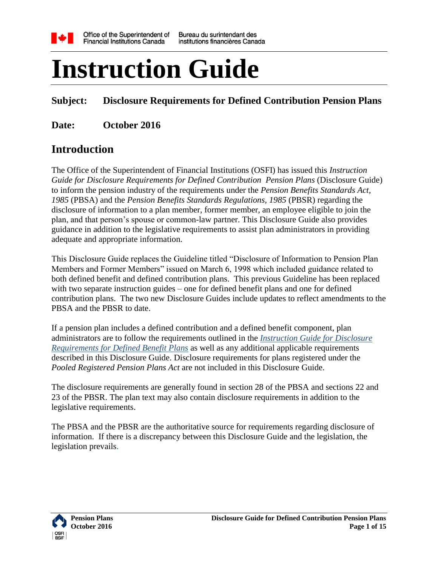

# **Instruction Guide**

## **Subject: Disclosure Requirements for Defined Contribution Pension Plans**

**Date: October 2016**

## **Introduction**

The Office of the Superintendent of Financial Institutions (OSFI) has issued this *Instruction Guide for Disclosure Requirements for Defined Contribution Pension Plans* (Disclosure Guide) to inform the pension industry of the requirements under the *Pension Benefits Standards Act, 1985* (PBSA) and the *Pension Benefits Standards Regulations, 1985* (PBSR) regarding the disclosure of information to a plan member, former member, an employee eligible to join the plan, and that person's spouse or common-law partner. This Disclosure Guide also provides guidance in addition to the legislative requirements to assist plan administrators in providing adequate and appropriate information.

This Disclosure Guide replaces the Guideline titled "Disclosure of Information to Pension Plan Members and Former Members" issued on March 6, 1998 which included guidance related to both defined benefit and defined contribution plans. This previous Guideline has been replaced with two separate instruction guides – one for defined benefit plans and one for defined contribution plans. The two new Disclosure Guides include updates to reflect amendments to the PBSA and the PBSR to date.

If a pension plan includes a defined contribution and a defined benefit component, plan administrators are to follow the requirements outlined in the *[Instruction Guide for Disclosure](http://www.osfi-bsif.gc.ca/Eng/Docs/dcdg.pdf)  [Requirements for Defined Benefit Plans](http://www.osfi-bsif.gc.ca/Eng/Docs/dcdg.pdf)* as well as any additional applicable requirements described in this Disclosure Guide. Disclosure requirements for plans registered under the *Pooled Registered Pension Plans Act* are not included in this Disclosure Guide.

The disclosure requirements are generally found in section 28 of the PBSA and sections 22 and 23 of the PBSR. The plan text may also contain disclosure requirements in addition to the legislative requirements.

The PBSA and the PBSR are the authoritative source for requirements regarding disclosure of information. If there is a discrepancy between this Disclosure Guide and the legislation, the legislation prevails.

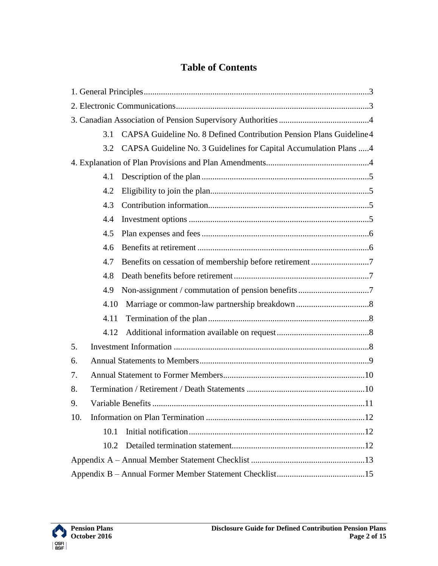## **Table of Contents**

|     | 3.1  | CAPSA Guideline No. 8 Defined Contribution Pension Plans Guideline 4 |  |
|-----|------|----------------------------------------------------------------------|--|
|     | 3.2  | CAPSA Guideline No. 3 Guidelines for Capital Accumulation Plans 4    |  |
|     |      |                                                                      |  |
|     | 4.1  |                                                                      |  |
|     | 4.2  |                                                                      |  |
|     | 4.3  |                                                                      |  |
|     | 4.4  |                                                                      |  |
|     | 4.5  |                                                                      |  |
|     | 4.6  |                                                                      |  |
|     | 4.7  |                                                                      |  |
|     | 4.8  |                                                                      |  |
|     | 4.9  |                                                                      |  |
|     | 4.10 |                                                                      |  |
|     | 4.11 |                                                                      |  |
|     | 4.12 |                                                                      |  |
| 5.  |      |                                                                      |  |
| 6.  |      |                                                                      |  |
| 7.  |      |                                                                      |  |
| 8.  |      |                                                                      |  |
| 9.  |      |                                                                      |  |
| 10. |      |                                                                      |  |
|     | 10.1 |                                                                      |  |
|     | 10.2 |                                                                      |  |
|     |      |                                                                      |  |
|     |      |                                                                      |  |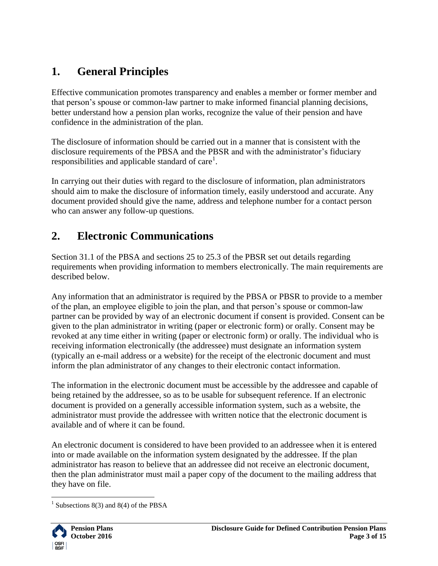# <span id="page-2-0"></span>**1. General Principles**

Effective communication promotes transparency and enables a member or former member and that person's spouse or common-law partner to make informed financial planning decisions, better understand how a pension plan works, recognize the value of their pension and have confidence in the administration of the plan.

The disclosure of information should be carried out in a manner that is consistent with the disclosure requirements of the PBSA and the PBSR and with the administrator's fiduciary responsibilities and applicable standard of care<sup>1</sup>.

In carrying out their duties with regard to the disclosure of information, plan administrators should aim to make the disclosure of information timely, easily understood and accurate. Any document provided should give the name, address and telephone number for a contact person who can answer any follow-up questions.

# <span id="page-2-1"></span>**2. Electronic Communications**

Section 31.1 of the PBSA and sections 25 to 25.3 of the PBSR set out details regarding requirements when providing information to members electronically. The main requirements are described below.

Any information that an administrator is required by the PBSA or PBSR to provide to a member of the plan, an employee eligible to join the plan, and that person's spouse or common-law partner can be provided by way of an electronic document if consent is provided. Consent can be given to the plan administrator in writing (paper or electronic form) or orally. Consent may be revoked at any time either in writing (paper or electronic form) or orally. The individual who is receiving information electronically (the addressee) must designate an information system (typically an e-mail address or a website) for the receipt of the electronic document and must inform the plan administrator of any changes to their electronic contact information.

The information in the electronic document must be accessible by the addressee and capable of being retained by the addressee, so as to be usable for subsequent reference. If an electronic document is provided on a generally accessible information system, such as a website, the administrator must provide the addressee with written notice that the electronic document is available and of where it can be found.

An electronic document is considered to have been provided to an addressee when it is entered into or made available on the information system designated by the addressee. If the plan administrator has reason to believe that an addressee did not receive an electronic document, then the plan administrator must mail a paper copy of the document to the mailing address that they have on file.

 $\overline{a}$ <sup>1</sup> Subsections 8(3) and 8(4) of the PBSA

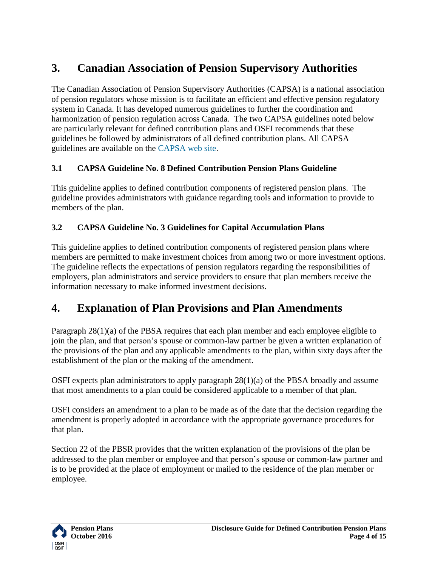# <span id="page-3-0"></span>**3. Canadian Association of Pension Supervisory Authorities**

The Canadian Association of Pension Supervisory Authorities (CAPSA) is a national association of pension regulators whose mission is to facilitate an efficient and effective pension regulatory system in Canada. It has developed numerous guidelines to further the coordination and harmonization of pension regulation across Canada. The two CAPSA guidelines noted below are particularly relevant for defined contribution plans and OSFI recommends that these guidelines be followed by administrators of all defined contribution plans. All CAPSA guidelines are available on the [CAPSA web site.](http://www.capsa-acor.org/en/)

#### <span id="page-3-1"></span>**3.1 CAPSA Guideline No. 8 Defined Contribution Pension Plans Guideline**

This guideline applies to defined contribution components of registered pension plans. The guideline provides administrators with guidance regarding tools and information to provide to members of the plan.

#### <span id="page-3-2"></span>**3.2 CAPSA Guideline No. 3 Guidelines for Capital Accumulation Plans**

This guideline applies to defined contribution components of registered pension plans where members are permitted to make investment choices from among two or more investment options. The guideline reflects the expectations of pension regulators regarding the responsibilities of employers, plan administrators and service providers to ensure that plan members receive the information necessary to make informed investment decisions.

# <span id="page-3-3"></span>**4. Explanation of Plan Provisions and Plan Amendments**

Paragraph 28(1)(a) of the PBSA requires that each plan member and each employee eligible to join the plan, and that person's spouse or common-law partner be given a written explanation of the provisions of the plan and any applicable amendments to the plan, within sixty days after the establishment of the plan or the making of the amendment.

OSFI expects plan administrators to apply paragraph 28(1)(a) of the PBSA broadly and assume that most amendments to a plan could be considered applicable to a member of that plan.

OSFI considers an amendment to a plan to be made as of the date that the decision regarding the amendment is properly adopted in accordance with the appropriate governance procedures for that plan.

Section 22 of the PBSR provides that the written explanation of the provisions of the plan be addressed to the plan member or employee and that person's spouse or common-law partner and is to be provided at the place of employment or mailed to the residence of the plan member or employee.

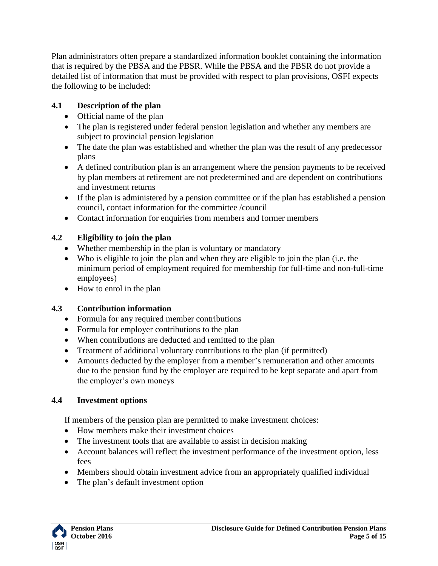Plan administrators often prepare a standardized information booklet containing the information that is required by the PBSA and the PBSR. While the PBSA and the PBSR do not provide a detailed list of information that must be provided with respect to plan provisions, OSFI expects the following to be included:

#### <span id="page-4-0"></span>**4.1 Description of the plan**

- Official name of the plan
- The plan is registered under federal pension legislation and whether any members are subject to provincial pension legislation
- The date the plan was established and whether the plan was the result of any predecessor plans
- A defined contribution plan is an arrangement where the pension payments to be received by plan members at retirement are not predetermined and are dependent on contributions and investment returns
- If the plan is administered by a pension committee or if the plan has established a pension council, contact information for the committee /council
- Contact information for enquiries from members and former members

## <span id="page-4-1"></span>**4.2 Eligibility to join the plan**

- Whether membership in the plan is voluntary or mandatory
- Who is eligible to join the plan and when they are eligible to join the plan (i.e. the minimum period of employment required for membership for full-time and non-full-time employees)
- How to enrol in the plan

## <span id="page-4-2"></span>**4.3 Contribution information**

- Formula for any required member contributions
- Formula for employer contributions to the plan
- When contributions are deducted and remitted to the plan
- Treatment of additional voluntary contributions to the plan (if permitted)
- Amounts deducted by the employer from a member's remuneration and other amounts due to the pension fund by the employer are required to be kept separate and apart from the employer's own moneys

## <span id="page-4-3"></span>**4.4 Investment options**

If members of the pension plan are permitted to make investment choices:

- How members make their investment choices
- The investment tools that are available to assist in decision making
- Account balances will reflect the investment performance of the investment option, less fees
- Members should obtain investment advice from an appropriately qualified individual
- The plan's default investment option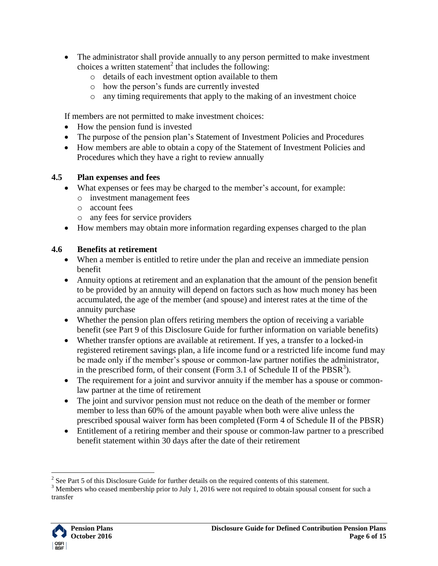- The administrator shall provide annually to any person permitted to make investment choices a written statement<sup>2</sup> that includes the following:
	- o details of each investment option available to them
	- o how the person's funds are currently invested
	- o any timing requirements that apply to the making of an investment choice

If members are not permitted to make investment choices:

- How the pension fund is invested
- The purpose of the pension plan's Statement of Investment Policies and Procedures
- How members are able to obtain a copy of the Statement of Investment Policies and Procedures which they have a right to review annually

#### <span id="page-5-0"></span>**4.5 Plan expenses and fees**

- What expenses or fees may be charged to the member's account, for example:
	- o investment management fees
	- o account fees
	- o any fees for service providers
- How members may obtain more information regarding expenses charged to the plan

#### <span id="page-5-1"></span>**4.6 Benefits at retirement**

- When a member is entitled to retire under the plan and receive an immediate pension benefit
- Annuity options at retirement and an explanation that the amount of the pension benefit to be provided by an annuity will depend on factors such as how much money has been accumulated, the age of the member (and spouse) and interest rates at the time of the annuity purchase
- Whether the pension plan offers retiring members the option of receiving a variable benefit (see Part 9 of this Disclosure Guide for further information on variable benefits)
- Whether transfer options are available at retirement. If yes, a transfer to a locked-in registered retirement savings plan, a life income fund or a restricted life income fund may be made only if the member's spouse or common-law partner notifies the administrator, in the prescribed form, of their consent (Form 3.1 of Schedule II of the  $PBSR<sup>3</sup>$ ).
- The requirement for a joint and survivor annuity if the member has a spouse or commonlaw partner at the time of retirement
- The joint and survivor pension must not reduce on the death of the member or former member to less than 60% of the amount payable when both were alive unless the prescribed spousal waiver form has been completed (Form 4 of Schedule II of the PBSR)
- Entitlement of a retiring member and their spouse or common-law partner to a prescribed benefit statement within 30 days after the date of their retirement

<sup>&</sup>lt;sup>3</sup> Members who ceased membership prior to July 1, 2016 were not required to obtain spousal consent for such a transfer



 $\overline{a}$ 

<sup>&</sup>lt;sup>2</sup> See Part 5 of this Disclosure Guide for further details on the required contents of this statement.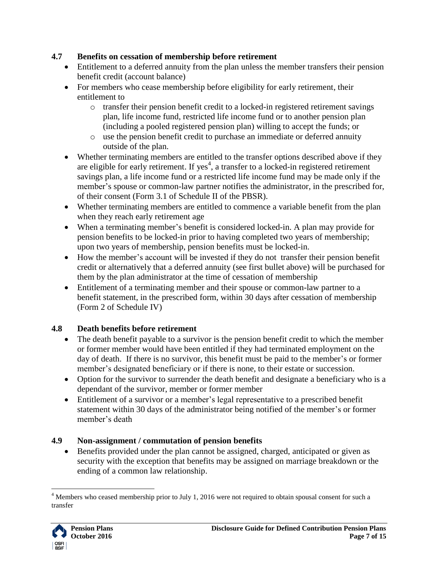#### <span id="page-6-0"></span>**4.7 Benefits on cessation of membership before retirement**

- Entitlement to a deferred annuity from the plan unless the member transfers their pension benefit credit (account balance)
- For members who cease membership before eligibility for early retirement, their entitlement to
	- $\circ$  transfer their pension benefit credit to a locked-in registered retirement savings plan, life income fund, restricted life income fund or to another pension plan (including a pooled registered pension plan) willing to accept the funds; or
	- o use the pension benefit credit to purchase an immediate or deferred annuity outside of the plan.
- Whether terminating members are entitled to the transfer options described above if they are eligible for early retirement. If yes<sup>4</sup>, a transfer to a locked-in registered retirement savings plan, a life income fund or a restricted life income fund may be made only if the member's spouse or common-law partner notifies the administrator, in the prescribed for, of their consent (Form 3.1 of Schedule II of the PBSR).
- Whether terminating members are entitled to commence a variable benefit from the plan when they reach early retirement age
- When a terminating member's benefit is considered locked-in. A plan may provide for pension benefits to be locked-in prior to having completed two years of membership; upon two years of membership, pension benefits must be locked-in.
- How the member's account will be invested if they do not transfer their pension benefit credit or alternatively that a deferred annuity (see first bullet above) will be purchased for them by the plan administrator at the time of cessation of membership
- Entitlement of a terminating member and their spouse or common-law partner to a benefit statement, in the prescribed form, within 30 days after cessation of membership (Form 2 of Schedule IV)

#### <span id="page-6-1"></span>**4.8 Death benefits before retirement**

- The death benefit payable to a survivor is the pension benefit credit to which the member or former member would have been entitled if they had terminated employment on the day of death. If there is no survivor, this benefit must be paid to the member's or former member's designated beneficiary or if there is none, to their estate or succession.
- Option for the survivor to surrender the death benefit and designate a beneficiary who is a dependant of the survivor, member or former member
- Entitlement of a survivor or a member's legal representative to a prescribed benefit statement within 30 days of the administrator being notified of the member's or former member's death

#### <span id="page-6-2"></span>**4.9 Non-assignment / commutation of pension benefits**

 Benefits provided under the plan cannot be assigned, charged, anticipated or given as security with the exception that benefits may be assigned on marriage breakdown or the ending of a common law relationship.

 $\overline{a}$  $<sup>4</sup>$  Members who ceased membership prior to July 1, 2016 were not required to obtain spousal consent for such a</sup> transfer

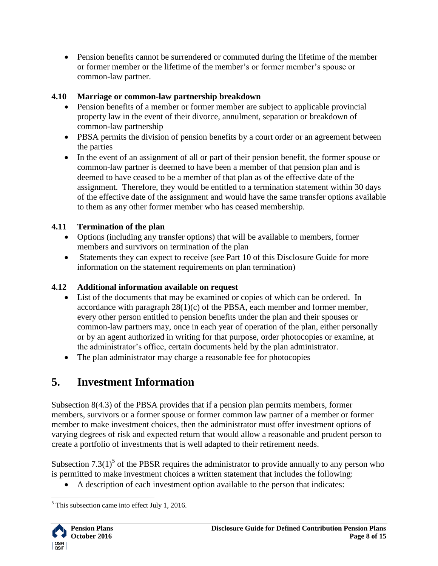Pension benefits cannot be surrendered or commuted during the lifetime of the member or former member or the lifetime of the member's or former member's spouse or common-law partner.

#### <span id="page-7-0"></span>**4.10 Marriage or common-law partnership breakdown**

- Pension benefits of a member or former member are subject to applicable provincial property law in the event of their divorce, annulment, separation or breakdown of common-law partnership
- PBSA permits the division of pension benefits by a court order or an agreement between the parties
- In the event of an assignment of all or part of their pension benefit, the former spouse or common-law partner is deemed to have been a member of that pension plan and is deemed to have ceased to be a member of that plan as of the effective date of the assignment. Therefore, they would be entitled to a termination statement within 30 days of the effective date of the assignment and would have the same transfer options available to them as any other former member who has ceased membership.

## <span id="page-7-1"></span>**4.11 Termination of the plan**

- Options (including any transfer options) that will be available to members, former members and survivors on termination of the plan
- Statements they can expect to receive (see Part 10 of this Disclosure Guide for more information on the statement requirements on plan termination)

## <span id="page-7-2"></span>**4.12 Additional information available on request**

- List of the documents that may be examined or copies of which can be ordered. In accordance with paragraph  $28(1)(c)$  of the PBSA, each member and former member, every other person entitled to pension benefits under the plan and their spouses or common-law partners may, once in each year of operation of the plan, either personally or by an agent authorized in writing for that purpose, order photocopies or examine, at the administrator's office, certain documents held by the plan administrator.
- The plan administrator may charge a reasonable fee for photocopies

# <span id="page-7-3"></span>**5. Investment Information**

Subsection 8(4.3) of the PBSA provides that if a pension plan permits members, former members, survivors or a former spouse or former common law partner of a member or former member to make investment choices, then the administrator must offer investment options of varying degrees of risk and expected return that would allow a reasonable and prudent person to create a portfolio of investments that is well adapted to their retirement needs.

Subsection  $7.3(1)^5$  of the PBSR requires the administrator to provide annually to any person who is permitted to make investment choices a written statement that includes the following:

A description of each investment option available to the person that indicates:

 $\overline{a}$  $<sup>5</sup>$  This subsection came into effect July 1, 2016.</sup>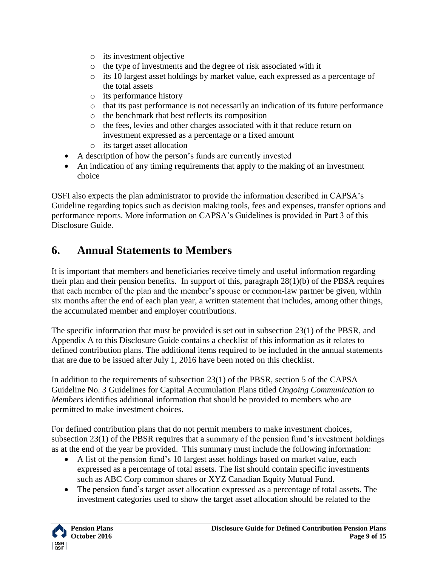- o its investment objective
- o the type of investments and the degree of risk associated with it
- o its 10 largest asset holdings by market value, each expressed as a percentage of the total assets
- o its performance history
- o that its past performance is not necessarily an indication of its future performance
- o the benchmark that best reflects its composition
- o the fees, levies and other charges associated with it that reduce return on investment expressed as a percentage or a fixed amount
- o its target asset allocation
- A description of how the person's funds are currently invested
- An indication of any timing requirements that apply to the making of an investment choice

OSFI also expects the plan administrator to provide the information described in CAPSA's Guideline regarding topics such as decision making tools, fees and expenses, transfer options and performance reports. More information on CAPSA's Guidelines is provided in Part 3 of this Disclosure Guide.

# <span id="page-8-0"></span>**6. Annual Statements to Members**

It is important that members and beneficiaries receive timely and useful information regarding their plan and their pension benefits. In support of this, paragraph 28(1)(b) of the PBSA requires that each member of the plan and the member's spouse or common-law partner be given, within six months after the end of each plan year, a written statement that includes, among other things, the accumulated member and employer contributions.

The specific information that must be provided is set out in subsection 23(1) of the PBSR, and Appendix A to this Disclosure Guide contains a checklist of this information as it relates to defined contribution plans. The additional items required to be included in the annual statements that are due to be issued after July 1, 2016 have been noted on this checklist.

In addition to the requirements of subsection 23(1) of the PBSR, section 5 of the CAPSA Guideline No. 3 Guidelines for Capital Accumulation Plans titled *Ongoing Communication to Members* identifies additional information that should be provided to members who are permitted to make investment choices.

For defined contribution plans that do not permit members to make investment choices, subsection 23(1) of the PBSR requires that a summary of the pension fund's investment holdings as at the end of the year be provided. This summary must include the following information:

- A list of the pension fund's 10 largest asset holdings based on market value, each expressed as a percentage of total assets. The list should contain specific investments such as ABC Corp common shares or XYZ Canadian Equity Mutual Fund.
- The pension fund's target asset allocation expressed as a percentage of total assets. The investment categories used to show the target asset allocation should be related to the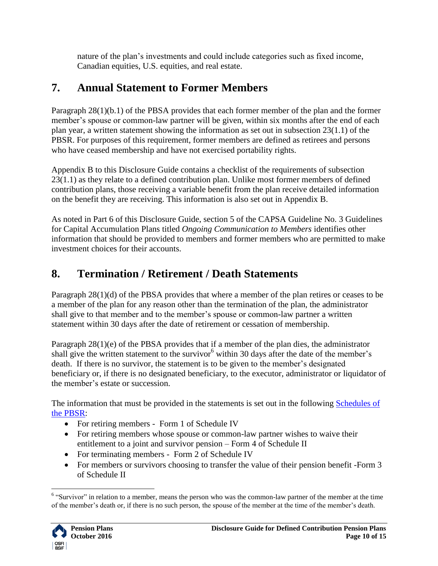nature of the plan's investments and could include categories such as fixed income, Canadian equities, U.S. equities, and real estate.

# <span id="page-9-0"></span>**7. Annual Statement to Former Members**

Paragraph 28(1)(b.1) of the PBSA provides that each former member of the plan and the former member's spouse or common-law partner will be given, within six months after the end of each plan year, a written statement showing the information as set out in subsection 23(1.1) of the PBSR. For purposes of this requirement, former members are defined as retirees and persons who have ceased membership and have not exercised portability rights.

Appendix B to this Disclosure Guide contains a checklist of the requirements of subsection 23(1.1) as they relate to a defined contribution plan. Unlike most former members of defined contribution plans, those receiving a variable benefit from the plan receive detailed information on the benefit they are receiving. This information is also set out in Appendix B.

As noted in Part 6 of this Disclosure Guide, section 5 of the CAPSA Guideline No. 3 Guidelines for Capital Accumulation Plans titled *Ongoing Communication to Members* identifies other information that should be provided to members and former members who are permitted to make investment choices for their accounts.

# <span id="page-9-1"></span>**8. Termination / Retirement / Death Statements**

Paragraph 28(1)(d) of the PBSA provides that where a member of the plan retires or ceases to be a member of the plan for any reason other than the termination of the plan, the administrator shall give to that member and to the member's spouse or common-law partner a written statement within 30 days after the date of retirement or cessation of membership.

Paragraph 28(1)(e) of the PBSA provides that if a member of the plan dies, the administrator shall give the written statement to the survivor<sup>6</sup> within 30 days after the date of the member's death. If there is no survivor, the statement is to be given to the member's designated beneficiary or, if there is no designated beneficiary, to the executor, administrator or liquidator of the member's estate or succession.

The information that must be provided in the statements is set out in the following Schedules of [the PBSR:](http://laws-lois.justice.gc.ca/eng/regulations/SOR-87-19/index.html)

- For retiring members Form 1 of Schedule IV
- For retiring members whose spouse or common-law partner wishes to waive their entitlement to a joint and survivor pension – Form 4 of Schedule II
- For terminating members Form 2 of Schedule IV
- For members or survivors choosing to transfer the value of their pension benefit -Form 3 of Schedule II

 $\overline{a}$  $6$  "Survivor" in relation to a member, means the person who was the common-law partner of the member at the time of the member's death or, if there is no such person, the spouse of the member at the time of the member's death.

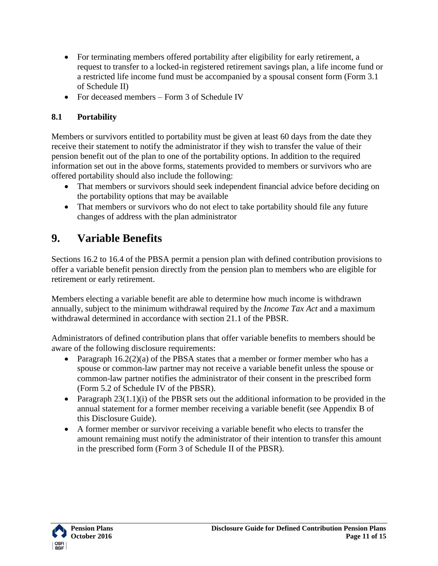- For terminating members offered portability after eligibility for early retirement, a request to transfer to a locked-in registered retirement savings plan, a life income fund or a restricted life income fund must be accompanied by a spousal consent form (Form 3.1 of Schedule II)
- For deceased members Form 3 of Schedule IV

#### **8.1 Portability**

Members or survivors entitled to portability must be given at least 60 days from the date they receive their statement to notify the administrator if they wish to transfer the value of their pension benefit out of the plan to one of the portability options. In addition to the required information set out in the above forms, statements provided to members or survivors who are offered portability should also include the following:

- That members or survivors should seek independent financial advice before deciding on the portability options that may be available
- That members or survivors who do not elect to take portability should file any future changes of address with the plan administrator

# <span id="page-10-0"></span>**9. Variable Benefits**

Sections 16.2 to 16.4 of the PBSA permit a pension plan with defined contribution provisions to offer a variable benefit pension directly from the pension plan to members who are eligible for retirement or early retirement.

Members electing a variable benefit are able to determine how much income is withdrawn annually, subject to the minimum withdrawal required by the *Income Tax Act* and a maximum withdrawal determined in accordance with section 21.1 of the PBSR.

Administrators of defined contribution plans that offer variable benefits to members should be aware of the following disclosure requirements:

- Paragraph  $16.2(2)(a)$  of the PBSA states that a member or former member who has a spouse or common-law partner may not receive a variable benefit unless the spouse or common-law partner notifies the administrator of their consent in the prescribed form (Form 5.2 of Schedule IV of the PBSR).
- Paragraph  $23(1.1)(i)$  of the PBSR sets out the additional information to be provided in the annual statement for a former member receiving a variable benefit (see Appendix B of this Disclosure Guide).
- A former member or survivor receiving a variable benefit who elects to transfer the amount remaining must notify the administrator of their intention to transfer this amount in the prescribed form (Form 3 of Schedule II of the PBSR).

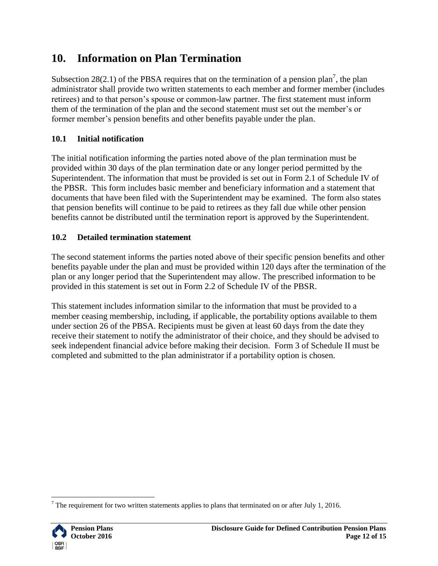# <span id="page-11-0"></span>**10. Information on Plan Termination**

Subsection 28(2.1) of the PBSA requires that on the termination of a pension plan<sup>7</sup>, the plan administrator shall provide two written statements to each member and former member (includes retirees) and to that person's spouse or common-law partner. The first statement must inform them of the termination of the plan and the second statement must set out the member's or former member's pension benefits and other benefits payable under the plan.

## <span id="page-11-1"></span>**10.1 Initial notification**

The initial notification informing the parties noted above of the plan termination must be provided within 30 days of the plan termination date or any longer period permitted by the Superintendent. The information that must be provided is set out in Form 2.1 of Schedule IV of the PBSR. This form includes basic member and beneficiary information and a statement that documents that have been filed with the Superintendent may be examined. The form also states that pension benefits will continue to be paid to retirees as they fall due while other pension benefits cannot be distributed until the termination report is approved by the Superintendent.

## <span id="page-11-2"></span>**10.2 Detailed termination statement**

The second statement informs the parties noted above of their specific pension benefits and other benefits payable under the plan and must be provided within 120 days after the termination of the plan or any longer period that the Superintendent may allow. The prescribed information to be provided in this statement is set out in Form 2.2 of Schedule IV of the PBSR.

This statement includes information similar to the information that must be provided to a member ceasing membership, including, if applicable, the portability options available to them under section 26 of the PBSA. Recipients must be given at least 60 days from the date they receive their statement to notify the administrator of their choice, and they should be advised to seek independent financial advice before making their decision. Form 3 of Schedule II must be completed and submitted to the plan administrator if a portability option is chosen.

 $\overline{a}$ <sup>7</sup> The requirement for two written statements applies to plans that terminated on or after July 1, 2016.

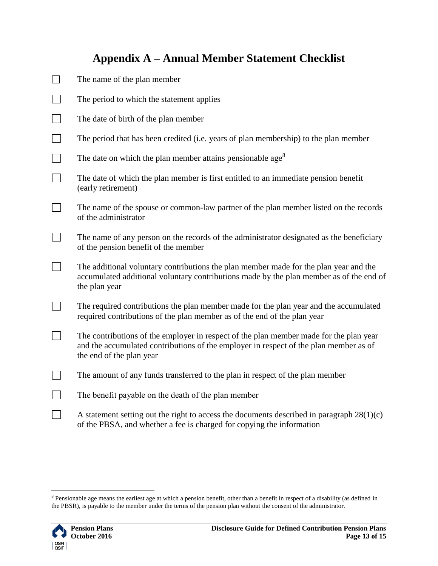## **Appendix A – Annual Member Statement Checklist**

<span id="page-12-0"></span>

|                   | The name of the plan member               |
|-------------------|-------------------------------------------|
| <b>The Common</b> | The period to which the statement applies |
| <b>The Common</b> | The date of birth of the plan member      |

|  | The period that has been credited (i.e. years of plan membership) to the plan member |  |  |  |  |
|--|--------------------------------------------------------------------------------------|--|--|--|--|
|--|--------------------------------------------------------------------------------------|--|--|--|--|

- $\Box$ The date on which the plan member attains pensionable age<sup>8</sup>
- $\Box$ The date of which the plan member is first entitled to an immediate pension benefit (early retirement)
- $\Box$ The name of the spouse or common-law partner of the plan member listed on the records of the administrator
- $\Box$ The name of any person on the records of the administrator designated as the beneficiary of the pension benefit of the member
- $\mathcal{L}$ The additional voluntary contributions the plan member made for the plan year and the accumulated additional voluntary contributions made by the plan member as of the end of the plan year
- $\Box$ The required contributions the plan member made for the plan year and the accumulated required contributions of the plan member as of the end of the plan year
- $\Box$ The contributions of the employer in respect of the plan member made for the plan year and the accumulated contributions of the employer in respect of the plan member as of the end of the plan year
- $\Box$ The amount of any funds transferred to the plan in respect of the plan member
- $\Box$ The benefit payable on the death of the plan member
- $\Box$ A statement setting out the right to access the documents described in paragraph  $28(1)(c)$ of the PBSA, and whether a fee is charged for copying the information

<sup>&</sup>lt;sup>8</sup> Pensionable age means the earliest age at which a pension benefit, other than a benefit in respect of a disability (as defined in the PBSR), is payable to the member under the terms of the pension plan without the consent of the administrator.



 $\overline{a}$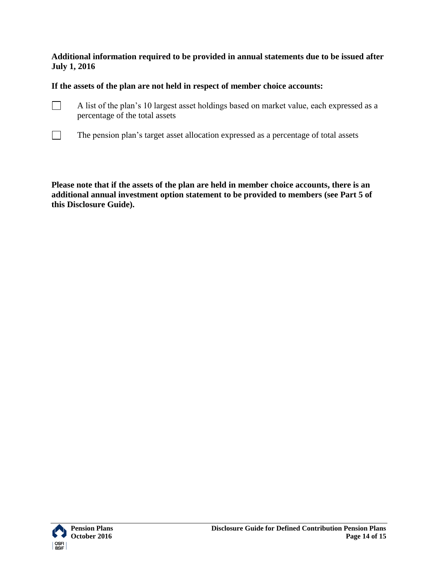**Additional information required to be provided in annual statements due to be issued after July 1, 2016**

**If the assets of the plan are not held in respect of member choice accounts:**

- $\Box$ A list of the plan's 10 largest asset holdings based on market value, each expressed as a percentage of the total assets
- $\Box$ The pension plan's target asset allocation expressed as a percentage of total assets

**Please note that if the assets of the plan are held in member choice accounts, there is an additional annual investment option statement to be provided to members (see Part 5 of this Disclosure Guide).**